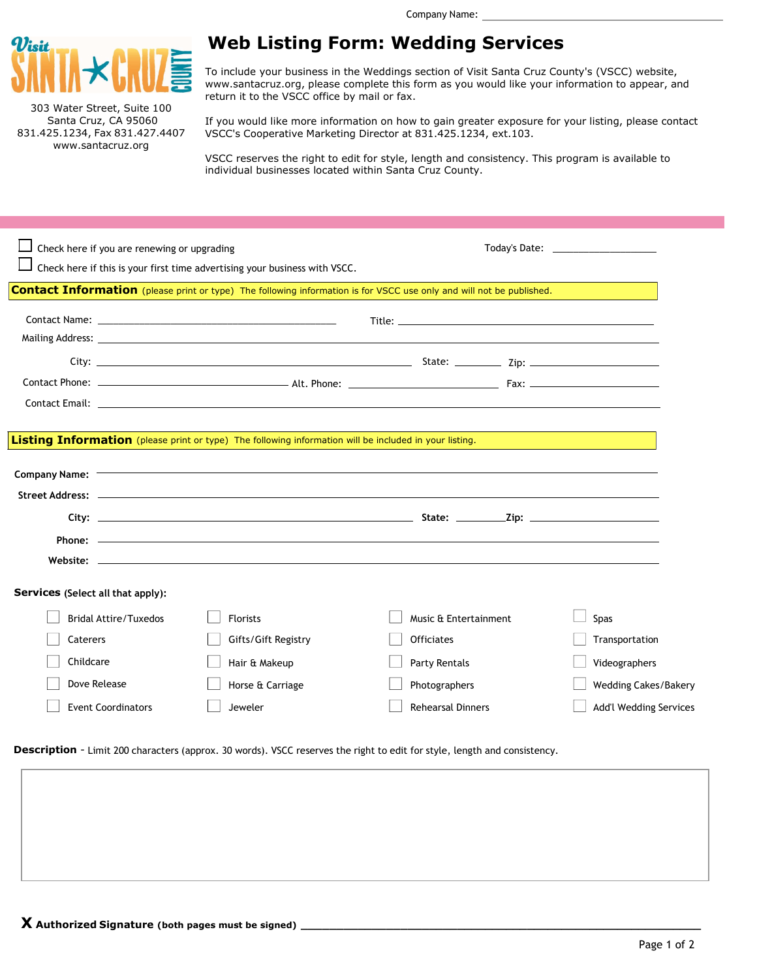

303 Water Street, Suite 100 www.santacruz.org

## Web Listing Form: Wedding Services

To include your business in the Weddings section of Visit Santa Cruz County's (VSCC) website, www.santacruz.org, please complete this form as you would like your information to appear, and return it to the VSCC office by mail or fax.

Santa Cruz, CA 95060 If you would like more information on how to gain greater exposure for your listing, please contact 831.425.1234, Fax 831.427.4407 VSCC's Cooperative Marketing Director at 831.425.1234, ext.103.

> VSCC reserves the right to edit for style, length and consistency. This program is available to individual businesses located within Santa Cruz County.

Description - Limit 200 characters (approx. 30 words). VSCC reserves the right to edit for style, length and consistency.